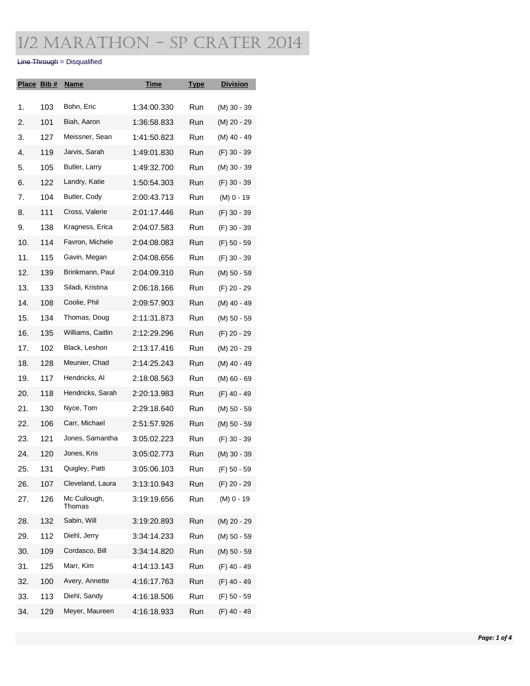### 1/2 Marathon - SP Crater 2014

#### Line Through = Disqualified

| Place Bib # |     | <b>Name</b>            | <u>Time</u> | <b>Type</b> | <b>Division</b> |
|-------------|-----|------------------------|-------------|-------------|-----------------|
| 1.          | 103 | Bohn, Eric             | 1:34:00.330 | Run         | (M) 30 - 39     |
| 2.          | 101 | Biah, Aaron            | 1:36:58.833 | Run         | (M) 20 - 29     |
|             | 127 | Meissner, Sean         | 1:41:50.823 | Run         |                 |
| 3.          |     |                        |             |             | (M) 40 - 49     |
| 4.          | 119 | Jarvis, Sarah          | 1:49:01.830 | Run         | (F) 30 - 39     |
| 5.          | 105 | Butler, Larry          | 1:49:32.700 | Run         | (M) 30 - 39     |
| 6.          | 122 | Landry, Katie          | 1:50:54.303 | Run         | (F) 30 - 39     |
| 7.          | 104 | Butler, Cody           | 2:00:43.713 | Run         | (M) 0 - 19      |
| 8.          | 111 | Cross, Valerie         | 2:01:17.446 | Run         | $(F)$ 30 - 39   |
| 9.          | 138 | Kragness, Erica        | 2:04:07.583 | Run         | (F) 30 - 39     |
| 10.         | 114 | Favron, Michele        | 2:04:08.083 | Run         | (F) 50 - 59     |
| 11.         | 115 | Gavin, Megan           | 2:04:08.656 | Run         | $(F)$ 30 - 39   |
| 12.         | 139 | Brinkmann, Paul        | 2:04:09.310 | Run         | (M) 50 - 59     |
| 13.         | 133 | Siladi, Kristina       | 2:06:18.166 | Run         | (F) 20 - 29     |
| 14.         | 108 | Coolie, Phil           | 2:09:57.903 | Run         | (M) 40 - 49     |
| 15.         | 134 | Thomas, Doug           | 2:11:31.873 | Run         | (M) 50 - 59     |
| 16.         | 135 | Williams, Caitlin      | 2:12:29.296 | Run         | (F) 20 - 29     |
| 17.         | 102 | Black, Leshon          | 2:13:17.416 | Run         | (M) 20 - 29     |
| 18.         | 128 | Meunier, Chad          | 2:14:25.243 | Run         | (M) 40 - 49     |
| 19.         | 117 | Hendricks, Al          | 2:18:08.563 | Run         | $(M)$ 60 - 69   |
| 20.         | 118 | Hendricks, Sarah       | 2:20:13.983 | Run         | (F) 40 - 49     |
| 21.         | 130 | Nyce, Tom              | 2:29:18.640 | Run         | (M) 50 - 59     |
| 22.         | 106 | Carr, Michael          | 2:51:57.926 | Run         | (M) 50 - 59     |
| 23.         | 121 | Jones, Samantha        | 3:05:02.223 | Run         | (F) 30 - 39     |
| 24.         | 120 | Jones, Kris            | 3:05:02.773 | Run         | (M) 30 - 39     |
| 25.         | 131 | Quigley, Patti         | 3:05:06.103 | Run         | (F) 50 - 59     |
| 26.         | 107 | Cleveland, Laura       | 3:13:10.943 | Run         | (F) 20 - 29     |
| 27.         | 126 | Mc Cullough,<br>Thomas | 3:19:19.656 | Run         | $(M)$ 0 - 19    |
| 28.         | 132 | Sabin, Will            | 3:19:20.893 | Run         | (M) 20 - 29     |
| 29.         | 112 | Diehl, Jerry           | 3:34:14.233 | Run         | (M) 50 - 59     |
| 30.         | 109 | Cordasco, Bill         | 3:34:14.820 | Run         | (M) 50 - 59     |
| 31.         | 125 | Marr, Kim              | 4:14:13.143 | Run         | $(F)$ 40 - 49   |
| 32.         | 100 | Avery, Annette         | 4:16:17.763 | Run         | $(F)$ 40 - 49   |
| 33.         | 113 | Diehl, Sandy           | 4:16:18.506 | Run         | (F) 50 - 59     |
| 34.         | 129 | Meyer, Maureen         | 4:16:18.933 | Run         | (F) 40 - 49     |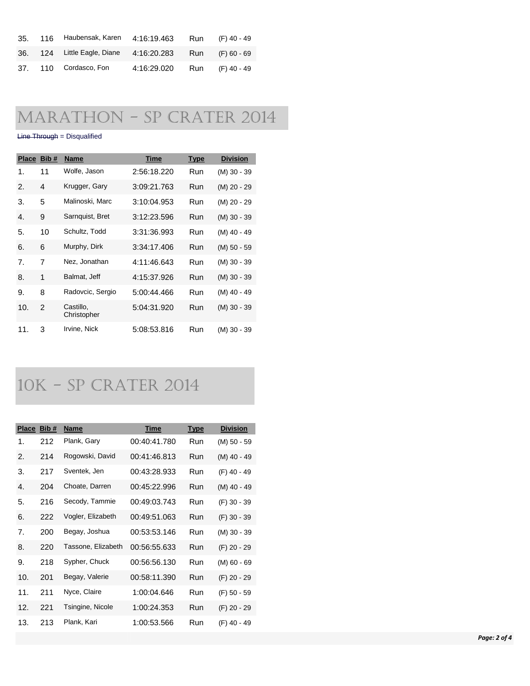| 35. | 116 Haubensak, Karen        | 4:16:19.463                 | Run | (F) 40 - 49     |
|-----|-----------------------------|-----------------------------|-----|-----------------|
|     | 36. 124 Little Eagle, Diane | 4:16:20.283 Run (F) 60 - 69 |     |                 |
|     | 37. 110 Cordasco, Fon       | 4:16:29.020                 |     | Run (F) 40 - 49 |

## Marathon - SP Crater 2014

#### Line Through = Disqualified

|                | Place Bib #    | <b>Name</b>              | Time        | <b>Type</b> | <b>Division</b> |
|----------------|----------------|--------------------------|-------------|-------------|-----------------|
| 1.             | 11             | Wolfe, Jason             | 2:56:18.220 | Run         | $(M)$ 30 - 39   |
| $\mathbf{2}$   | 4              | Krugger, Gary            | 3:09:21.763 | Run         | (M) 20 - 29     |
| 3.             | 5              | Malinoski, Marc          | 3:10:04.953 | Run         | (M) 20 - 29     |
| 4.             | 9              | Sarnquist, Bret          | 3:12:23.596 | Run         | $(M)$ 30 - 39   |
| 5.             | 10             | Schultz, Todd            | 3:31:36.993 | Run         | (M) 40 - 49     |
| 6.             | 6              | Murphy, Dirk             | 3:34:17.406 | Run         | $(M)$ 50 - 59   |
| 7 <sub>1</sub> | $\overline{7}$ | Nez, Jonathan            | 4:11:46.643 | Run         | (M) 30 - 39     |
| 8.             | 1              | Balmat, Jeff             | 4:15:37.926 | Run         | $(M)$ 30 - 39   |
| 9.             | 8              | Radovcic, Sergio         | 5:00:44.466 | Run         | (M) 40 - 49     |
| 10.            | $\mathcal{P}$  | Castillo,<br>Christopher | 5:04:31.920 | Run         | $(M)$ 30 - 39   |
| 11.            | 3              | Irvine, Nick             | 5:08:53.816 | Run         | (M) 30 - 39     |

## 10K - SP Crater 2014

| <b>Place</b> | Bib# | <b>Name</b>        | <b>Time</b>  | <b>Type</b> | <b>Division</b> |
|--------------|------|--------------------|--------------|-------------|-----------------|
| 1.           | 212  | Plank, Gary        | 00:40:41.780 | Run         | (M) 50 - 59     |
| 2.           | 214  | Rogowski, David    | 00:41:46.813 | Run         | (M) 40 - 49     |
| 3.           | 217  | Sventek, Jen       | 00:43:28.933 | Run         | (F) 40 - 49     |
| 4.           | 204  | Choate, Darren     | 00:45:22.996 | Run         | (M) 40 - 49     |
| 5.           | 216  | Secody, Tammie     | 00:49:03.743 | Run         | (F) 30 - 39     |
| 6.           | 222  | Vogler, Elizabeth  | 00:49:51.063 | Run         | (F) 30 - 39     |
| 7.           | 200  | Begay, Joshua      | 00:53:53.146 | Run         | (M) 30 - 39     |
| 8.           | 220  | Tassone, Elizabeth | 00:56:55.633 | Run         | (F) 20 - 29     |
| 9.           | 218  | Sypher, Chuck      | 00:56:56.130 | Run         | $(M)$ 60 - 69   |
| 10.          | 201  | Begay, Valerie     | 00:58:11.390 | Run         | (F) 20 - 29     |
| 11.          | 211  | Nyce, Claire       | 1:00:04.646  | Run         | (F) 50 - 59     |
| 12.          | 221  | Tsingine, Nicole   | 1:00:24.353  | Run         | (F) 20 - 29     |
| 13.          | 213  | Plank, Kari        | 1:00:53.566  | Run         | (F) 40 - 49     |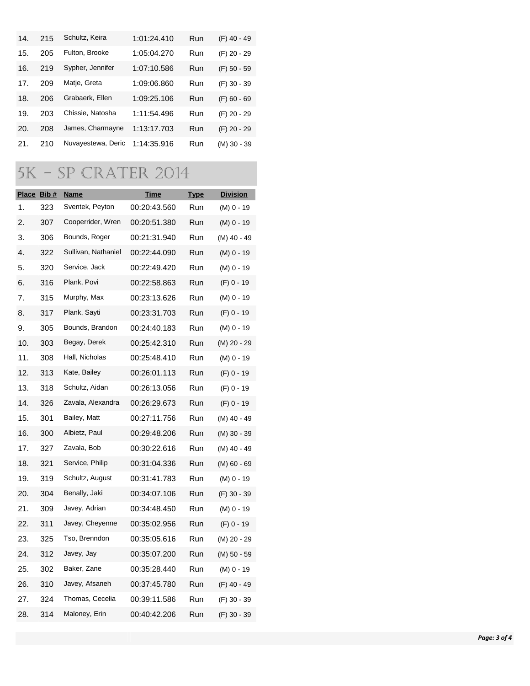| 14.             | 215 | Schultz, Keira     | 1:01:24.410 | Run | $(F)$ 40 - 49 |
|-----------------|-----|--------------------|-------------|-----|---------------|
| 15.             | 205 | Fulton, Brooke     | 1:05:04.270 | Run | (F) 20 - 29   |
| 16.             | 219 | Sypher, Jennifer   | 1:07:10.586 | Run | $(F)$ 50 - 59 |
| 17 <sub>1</sub> | 209 | Matje, Greta       | 1:09:06.860 | Run | $(F)$ 30 - 39 |
| 18.             | 206 | Grabaerk, Ellen    | 1:09:25.106 | Run | $(F)$ 60 - 69 |
| 19.             | 203 | Chissie, Natosha   | 1:11:54.496 | Run | (F) 20 - 29   |
| 20.             | 208 | James, Charmayne   | 1:13:17.703 | Run | $(F)$ 20 - 29 |
| 21.             | 210 | Nuvayestewa, Deric | 1:14:35.916 | Run | $(M)$ 30 - 39 |

# 5K - SP Crater 2014

| Place Bib # |     | <u>Name</u>         | <u>Time</u>  | <b>Type</b> | <b>Division</b> |
|-------------|-----|---------------------|--------------|-------------|-----------------|
| 1.          | 323 | Sventek, Peyton     | 00:20:43.560 | Run         | (M) 0 - 19      |
| 2.          | 307 | Cooperrider, Wren   | 00:20:51.380 | Run         | (M) 0 - 19      |
| 3.          | 306 | Bounds, Roger       | 00:21:31.940 | Run         | (M) 40 - 49     |
| 4.          | 322 | Sullivan, Nathaniel | 00:22:44.090 | Run         | (M) 0 - 19      |
| 5.          | 320 | Service, Jack       | 00:22:49.420 | Run         | (M) 0 - 19      |
| 6.          | 316 | Plank, Povi         | 00:22:58.863 | Run         | $(F)$ 0 - 19    |
| 7.          | 315 | Murphy, Max         | 00:23:13.626 | Run         | (M) 0 - 19      |
| 8.          | 317 | Plank, Sayti        | 00:23:31.703 | Run         | (F) 0 - 19      |
| 9.          | 305 | Bounds, Brandon     | 00:24:40.183 | Run         | (M) 0 - 19      |
| 10.         | 303 | Begay, Derek        | 00:25:42.310 | Run         | (M) 20 - 29     |
| 11.         | 308 | Hall, Nicholas      | 00:25:48.410 | Run         | (M) 0 - 19      |
| 12.         | 313 | Kate, Bailey        | 00:26:01.113 | Run         | $(F)$ 0 - 19    |
| 13.         | 318 | Schultz, Aidan      | 00:26:13.056 | Run         | (F) 0 - 19      |
| 14.         | 326 | Zavala, Alexandra   | 00:26:29.673 | Run         | $(F)$ 0 - 19    |
| 15.         | 301 | Bailey, Matt        | 00:27:11.756 | Run         | (M) 40 - 49     |
| 16.         | 300 | Albietz, Paul       | 00:29:48.206 | Run         | (M) 30 - 39     |
| 17.         | 327 | Zavala, Bob         | 00:30:22.616 | Run         | (M) 40 - 49     |
| 18.         | 321 | Service, Philip     | 00:31:04.336 | Run         | (M) 60 - 69     |
| 19.         | 319 | Schultz, August     | 00:31:41.783 | Run         | (M) 0 - 19      |
| 20.         | 304 | Benally, Jaki       | 00:34:07.106 | Run         | (F) 30 - 39     |
| 21.         | 309 | Javey, Adrian       | 00:34:48.450 | Run         | (M) 0 - 19      |
| 22.         | 311 | Javey, Cheyenne     | 00:35:02.956 | Run         | $(F)$ 0 - 19    |
| 23.         | 325 | Tso, Brenndon       | 00:35:05.616 | Run         | (M) 20 - 29     |
| 24.         | 312 | Javey, Jay          | 00:35:07.200 | Run         | (M) 50 - 59     |
| 25.         | 302 | Baker, Zane         | 00:35:28.440 | Run         | $(M)$ 0 - 19    |
| 26.         | 310 | Javey, Afsaneh      | 00:37:45.780 | Run         | (F) 40 - 49     |
| 27.         | 324 | Thomas, Cecelia     | 00:39:11.586 | Run         | (F) 30 - 39     |
| 28.         | 314 | Maloney, Erin       | 00:40:42.206 | Run         | (F) 30 - 39     |